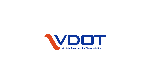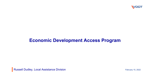

## **Economic Development Access Program**

Russell Dudley, Local Assistance Division **February 15, 2022** February 15, 2022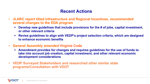## **Recent Actions**

- **JLARC report titled Infrastructure and Regional Incentives, recommended several changes to the EDA program**
	- **Develop new guidelines that include provisions for the # of jobs, capital investment, or other relevant criteria**
	- **Revise guidelines to align with VEDP's project selection criteria, which are designed to enhance economic benefits**
- **General Assembly amended Virginia Code**
	- **Amendment provides for changes and requires guidelines for the use of funds to take into account job creation, capital investment, and other relevant economic development considerations**
- **VEDP Surveyed Stakeholders and researched other similar state programs/Consultation with VDOT**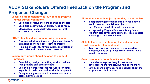## **VEDP Stakeholders Offered Feedback on the Program and Proposed Changes**

### **Localities are reluctant to pursue bonded projects under current conditions**

- **Localities perceive they are bearing all the risk**
- **Localities believe they will likely need to repay**
- **Clawbacks are especially daunting for rural, distressed localities**

### **EDAP's timeline does not align with the market**

- **Five year window is too short given lead times for attracting economic development projects**
- **Timeline should incentivize quick construction of road, offer add'l time to attract projects**

#### **Design-only grants should be open to non-MEI projects**

- **Completing design, permitting work expedites road projects and clarifies costs**
- **Design-only grants free up resources for other aspects of road construction, site development**
- **Design-only grants should require construction before permits expire**

#### **Alternative methods to justify funding are attractive**

- **Incorporating job creation into project metrics would broaden qualifying projects**
	- Especially useful in small communities
- **Incorporating Virginia Business Ready Sites Program Tier advancement into metrics supports holistic goal of site readiness**

#### **Stakeholders feel that funding has not kept pace with rising development costs**

 **Road construction costs have continued to increase, while per project EDAP funding levels remain the same**

#### **Some developers are unfamiliar with EDAP**

- **Localities who proactively invest in site development are familiar, but neighbors are not**
- **New economic developers do not hear about the program as it is little used**

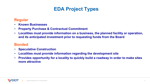# **EDA Project Types**

### **Regular**

- **Known Businesses**
- **Property Purchase & Contractual Commitment**
- **Localities must provide information on a business, the planned facility or operation, and its anticipated investment prior to requesting funds from the Board**

### **Bonded**

- **Speculative Construction**
- **Localities must provide information regarding the development site**
- **Provides opportunity for a locality to quickly build a roadway in order to make sites more attractive**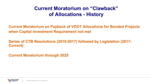# **Current Moratorium on "Clawback" of Allocations - History**

**Current Moratorium on Payback of VDOT Allocations for Bonded Projects when Capital Investment Requirement not met**

**Series of CTB Resolutions (2010-2017) followed by Legislation (2017- Current)**

**Current Moratorium through 2025**

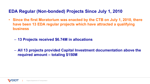## **EDA Regular (Non-bonded) Projects Since July 1, 2010**

- **Since the first Moratorium was enacted by the CTB on July 1, 2010, there have been 13 EDA regular projects which have attracted a qualifying business**
	- **13 Projects received \$6.74M in allocations**
	- **All 13 projects provided Capital Investment documentation above the required amount – totaling \$150M**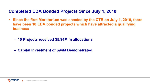### **Completed EDA Bonded Projects Since July 1, 2010**

- **Since the first Moratorium was enacted by the CTB on July 1, 2010, there have been 10 EDA bonded projects which have attracted a qualifying business**
	- **10 Projects received \$5.94M in allocations**
	- **Capital Investment of \$94M Demonstrated**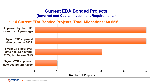## **Current EDA Bonded Projects**

**(have not met Capital Investment Requirements)**

• **14 Current EDA Bonded Projects, Total Allocations: \$8.65M**



Virginia Department of Transportation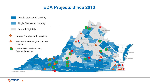## **EDA Projects Since 2010**



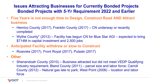## **Issues Attracting Businesses for Currently Bonded Projects Bonded Projects with 5-Yr Requirement 2022 and Earlier**

- **Five Years is not enough time to Design, Construct Road AND Attract business**
	- Henrico County (2017), Franklin County (2017) CN underway or recently completed
	- Wythe County\* (2012) Facility has begun CN for Blue Star AGI expected to bring \$714M in capital investment and 2,500 jobs
- **Anticipated Facility withdrew or slow to Construct**
	- Roanoke (2017), Front Royal (2017), Pulaski (2017)
- **Other**
	- Shenandoah County (2010) Business attracted but did not meet VEDP Qualifying Industry requirement; Bland County (2011) – parcel size and labor force; Carroll County (2012) – Natural gas late to park; West Point (2006) – location and labor force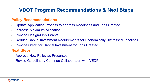# **VDOT Program Recommendations & Next Steps**

### **Policy Recommendations**

- Update Application Process to address Readiness and Jobs Created
- Increase Maximum Allocation
- **Provide Design-Only Grants**
- Reduce Capital Investment Requirements for Economically Distressed Localities
- Provide Credit for Capital Investment for Jobs Created

### **Next Steps**

- Approve New Policy as Presented
- Revise Guidelines / Continue Collaboration with VEDP